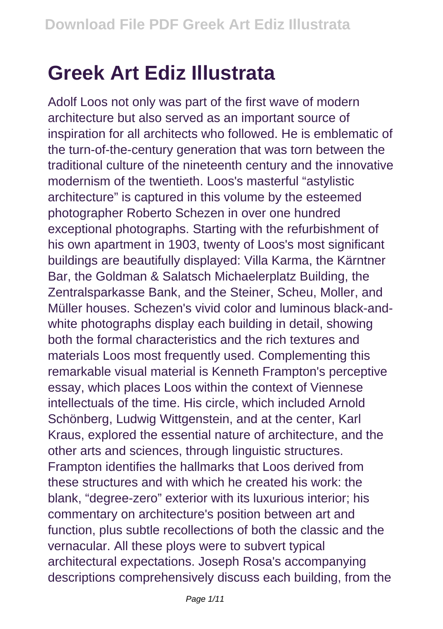## **Greek Art Ediz Illustrata**

Adolf Loos not only was part of the first wave of modern architecture but also served as an important source of inspiration for all architects who followed. He is emblematic of the turn-of-the-century generation that was torn between the traditional culture of the nineteenth century and the innovative modernism of the twentieth. Loos's masterful "astylistic architecture" is captured in this volume by the esteemed photographer Roberto Schezen in over one hundred exceptional photographs. Starting with the refurbishment of his own apartment in 1903, twenty of Loos's most significant buildings are beautifully displayed: Villa Karma, the Kärntner Bar, the Goldman & Salatsch Michaelerplatz Building, the Zentralsparkasse Bank, and the Steiner, Scheu, Moller, and Müller houses. Schezen's vivid color and luminous black-andwhite photographs display each building in detail, showing both the formal characteristics and the rich textures and materials Loos most frequently used. Complementing this remarkable visual material is Kenneth Frampton's perceptive essay, which places Loos within the context of Viennese intellectuals of the time. His circle, which included Arnold Schönberg, Ludwig Wittgenstein, and at the center, Karl Kraus, explored the essential nature of architecture, and the other arts and sciences, through linguistic structures. Frampton identifies the hallmarks that Loos derived from these structures and with which he created his work: the blank, "degree-zero" exterior with its luxurious interior; his commentary on architecture's position between art and function, plus subtle recollections of both the classic and the vernacular. All these ploys were to subvert typical architectural expectations. Joseph Rosa's accompanying descriptions comprehensively discuss each building, from the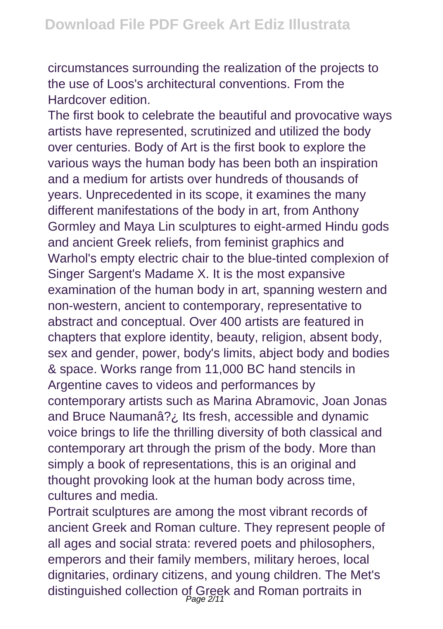circumstances surrounding the realization of the projects to the use of Loos's architectural conventions. From the Hardcover edition.

The first book to celebrate the beautiful and provocative ways artists have represented, scrutinized and utilized the body over centuries. Body of Art is the first book to explore the various ways the human body has been both an inspiration and a medium for artists over hundreds of thousands of years. Unprecedented in its scope, it examines the many different manifestations of the body in art, from Anthony Gormley and Maya Lin sculptures to eight-armed Hindu gods and ancient Greek reliefs, from feminist graphics and Warhol's empty electric chair to the blue-tinted complexion of Singer Sargent's Madame X. It is the most expansive examination of the human body in art, spanning western and non-western, ancient to contemporary, representative to abstract and conceptual. Over 400 artists are featured in chapters that explore identity, beauty, religion, absent body, sex and gender, power, body's limits, abject body and bodies & space. Works range from 11,000 BC hand stencils in Argentine caves to videos and performances by contemporary artists such as Marina Abramovic, Joan Jonas and Bruce Naumanâ?¿ Its fresh, accessible and dynamic voice brings to life the thrilling diversity of both classical and contemporary art through the prism of the body. More than simply a book of representations, this is an original and thought provoking look at the human body across time, cultures and media.

Portrait sculptures are among the most vibrant records of ancient Greek and Roman culture. They represent people of all ages and social strata: revered poets and philosophers, emperors and their family members, military heroes, local dignitaries, ordinary citizens, and young children. The Met's distinguished collection of Greek and Roman portraits in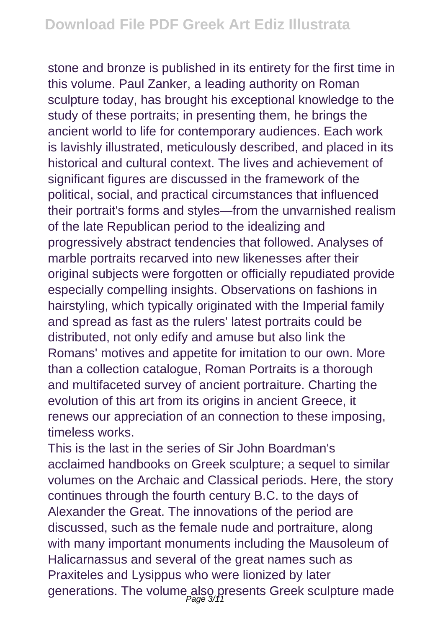stone and bronze is published in its entirety for the first time in this volume. Paul Zanker, a leading authority on Roman sculpture today, has brought his exceptional knowledge to the study of these portraits; in presenting them, he brings the ancient world to life for contemporary audiences. Each work is lavishly illustrated, meticulously described, and placed in its historical and cultural context. The lives and achievement of significant figures are discussed in the framework of the political, social, and practical circumstances that influenced their portrait's forms and styles—from the unvarnished realism of the late Republican period to the idealizing and progressively abstract tendencies that followed. Analyses of marble portraits recarved into new likenesses after their original subjects were forgotten or officially repudiated provide especially compelling insights. Observations on fashions in hairstyling, which typically originated with the Imperial family and spread as fast as the rulers' latest portraits could be distributed, not only edify and amuse but also link the Romans' motives and appetite for imitation to our own. More than a collection catalogue, Roman Portraits is a thorough and multifaceted survey of ancient portraiture. Charting the evolution of this art from its origins in ancient Greece, it renews our appreciation of an connection to these imposing, timeless works.

This is the last in the series of Sir John Boardman's acclaimed handbooks on Greek sculpture; a sequel to similar volumes on the Archaic and Classical periods. Here, the story continues through the fourth century B.C. to the days of Alexander the Great. The innovations of the period are discussed, such as the female nude and portraiture, along with many important monuments including the Mausoleum of Halicarnassus and several of the great names such as Praxiteles and Lysippus who were lionized by later generations. The volume also presents Greek sculpture made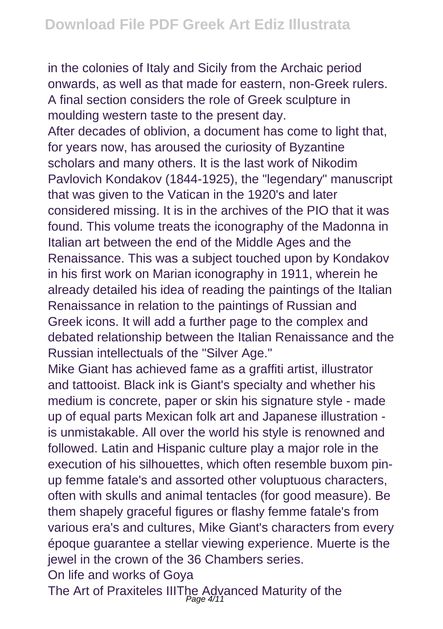in the colonies of Italy and Sicily from the Archaic period onwards, as well as that made for eastern, non-Greek rulers. A final section considers the role of Greek sculpture in moulding western taste to the present day. After decades of oblivion, a document has come to light that, for years now, has aroused the curiosity of Byzantine scholars and many others. It is the last work of Nikodim Pavlovich Kondakov (1844-1925), the "legendary" manuscript that was given to the Vatican in the 1920's and later considered missing. It is in the archives of the PIO that it was found. This volume treats the iconography of the Madonna in Italian art between the end of the Middle Ages and the Renaissance. This was a subject touched upon by Kondakov in his first work on Marian iconography in 1911, wherein he already detailed his idea of reading the paintings of the Italian Renaissance in relation to the paintings of Russian and Greek icons. It will add a further page to the complex and debated relationship between the Italian Renaissance and the Russian intellectuals of the "Silver Age."

Mike Giant has achieved fame as a graffiti artist, illustrator and tattooist. Black ink is Giant's specialty and whether his medium is concrete, paper or skin his signature style - made up of equal parts Mexican folk art and Japanese illustration is unmistakable. All over the world his style is renowned and followed. Latin and Hispanic culture play a major role in the execution of his silhouettes, which often resemble buxom pinup femme fatale's and assorted other voluptuous characters, often with skulls and animal tentacles (for good measure). Be them shapely graceful figures or flashy femme fatale's from various era's and cultures, Mike Giant's characters from every époque guarantee a stellar viewing experience. Muerte is the jewel in the crown of the 36 Chambers series.

On life and works of Goya

The Art of Praxiteles IIIThe Advanced Maturity of the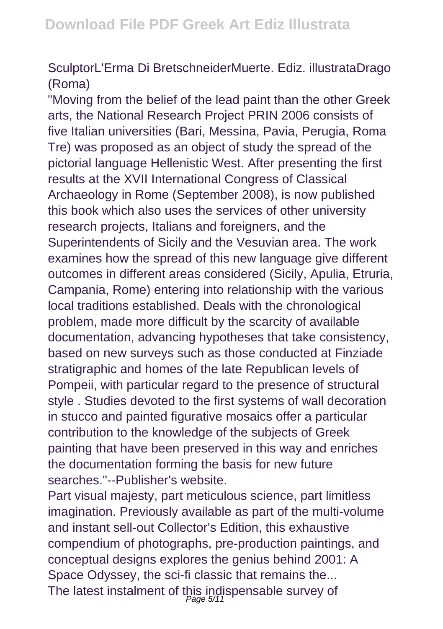## SculptorL'Erma Di BretschneiderMuerte. Ediz. illustrataDrago (Roma)

"Moving from the belief of the lead paint than the other Greek arts, the National Research Project PRIN 2006 consists of five Italian universities (Bari, Messina, Pavia, Perugia, Roma Tre) was proposed as an object of study the spread of the pictorial language Hellenistic West. After presenting the first results at the XVII International Congress of Classical Archaeology in Rome (September 2008), is now published this book which also uses the services of other university research projects, Italians and foreigners, and the Superintendents of Sicily and the Vesuvian area. The work examines how the spread of this new language give different outcomes in different areas considered (Sicily, Apulia, Etruria, Campania, Rome) entering into relationship with the various local traditions established. Deals with the chronological problem, made more difficult by the scarcity of available documentation, advancing hypotheses that take consistency, based on new surveys such as those conducted at Finziade stratigraphic and homes of the late Republican levels of Pompeii, with particular regard to the presence of structural style . Studies devoted to the first systems of wall decoration in stucco and painted figurative mosaics offer a particular contribution to the knowledge of the subjects of Greek painting that have been preserved in this way and enriches the documentation forming the basis for new future searches."--Publisher's website.

Part visual majesty, part meticulous science, part limitless imagination. Previously available as part of the multi-volume and instant sell-out Collector's Edition, this exhaustive compendium of photographs, pre-production paintings, and conceptual designs explores the genius behind 2001: A Space Odyssey, the sci-fi classic that remains the... The latest instalment of this indispensable survey of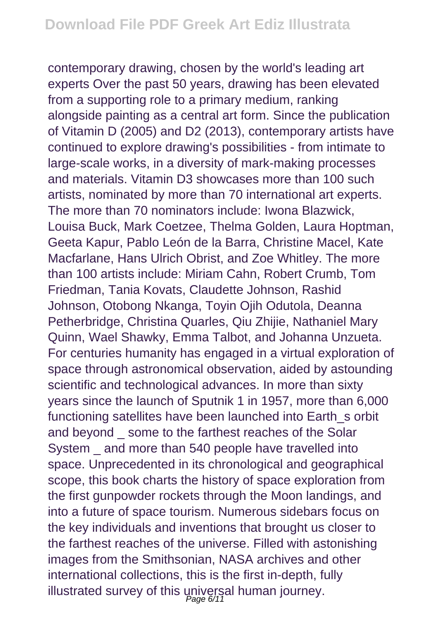contemporary drawing, chosen by the world's leading art experts Over the past 50 years, drawing has been elevated from a supporting role to a primary medium, ranking alongside painting as a central art form. Since the publication of Vitamin D (2005) and D2 (2013), contemporary artists have continued to explore drawing's possibilities - from intimate to large-scale works, in a diversity of mark-making processes and materials. Vitamin D3 showcases more than 100 such artists, nominated by more than 70 international art experts. The more than 70 nominators include: Iwona Blazwick, Louisa Buck, Mark Coetzee, Thelma Golden, Laura Hoptman, Geeta Kapur, Pablo León de la Barra, Christine Macel, Kate Macfarlane, Hans Ulrich Obrist, and Zoe Whitley. The more than 100 artists include: Miriam Cahn, Robert Crumb, Tom Friedman, Tania Kovats, Claudette Johnson, Rashid Johnson, Otobong Nkanga, Toyin Ojih Odutola, Deanna Petherbridge, Christina Quarles, Qiu Zhijie, Nathaniel Mary Quinn, Wael Shawky, Emma Talbot, and Johanna Unzueta. For centuries humanity has engaged in a virtual exploration of space through astronomical observation, aided by astounding scientific and technological advances. In more than sixty years since the launch of Sputnik 1 in 1957, more than 6,000 functioning satellites have been launched into Earth\_s orbit and beyond \_ some to the farthest reaches of the Solar System and more than 540 people have travelled into space. Unprecedented in its chronological and geographical scope, this book charts the history of space exploration from the first gunpowder rockets through the Moon landings, and into a future of space tourism. Numerous sidebars focus on the key individuals and inventions that brought us closer to the farthest reaches of the universe. Filled with astonishing images from the Smithsonian, NASA archives and other international collections, this is the first in-depth, fully illustrated survey of this universal human journey.<br>Page 6/11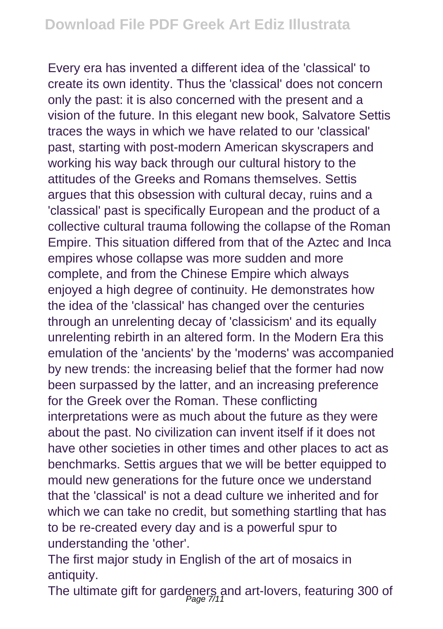Every era has invented a different idea of the 'classical' to create its own identity. Thus the 'classical' does not concern only the past: it is also concerned with the present and a vision of the future. In this elegant new book, Salvatore Settis traces the ways in which we have related to our 'classical' past, starting with post-modern American skyscrapers and working his way back through our cultural history to the attitudes of the Greeks and Romans themselves. Settis argues that this obsession with cultural decay, ruins and a 'classical' past is specifically European and the product of a collective cultural trauma following the collapse of the Roman Empire. This situation differed from that of the Aztec and Inca empires whose collapse was more sudden and more complete, and from the Chinese Empire which always enjoyed a high degree of continuity. He demonstrates how the idea of the 'classical' has changed over the centuries through an unrelenting decay of 'classicism' and its equally unrelenting rebirth in an altered form. In the Modern Era this emulation of the 'ancients' by the 'moderns' was accompanied by new trends: the increasing belief that the former had now been surpassed by the latter, and an increasing preference for the Greek over the Roman. These conflicting interpretations were as much about the future as they were about the past. No civilization can invent itself if it does not have other societies in other times and other places to act as benchmarks. Settis argues that we will be better equipped to mould new generations for the future once we understand that the 'classical' is not a dead culture we inherited and for which we can take no credit, but something startling that has to be re-created every day and is a powerful spur to understanding the 'other'.

The first major study in English of the art of mosaics in antiquity.

The ultimate gift for gardeners and art-lovers, featuring 300 of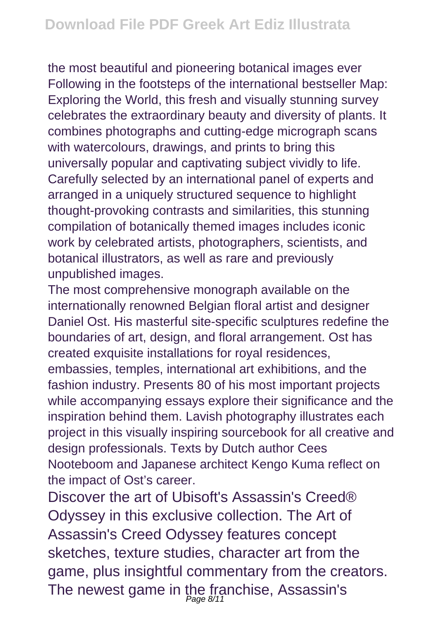the most beautiful and pioneering botanical images ever Following in the footsteps of the international bestseller Map: Exploring the World, this fresh and visually stunning survey celebrates the extraordinary beauty and diversity of plants. It combines photographs and cutting-edge micrograph scans with watercolours, drawings, and prints to bring this universally popular and captivating subject vividly to life. Carefully selected by an international panel of experts and arranged in a uniquely structured sequence to highlight thought-provoking contrasts and similarities, this stunning compilation of botanically themed images includes iconic work by celebrated artists, photographers, scientists, and botanical illustrators, as well as rare and previously unpublished images.

The most comprehensive monograph available on the internationally renowned Belgian floral artist and designer Daniel Ost. His masterful site-specific sculptures redefine the boundaries of art, design, and floral arrangement. Ost has created exquisite installations for royal residences, embassies, temples, international art exhibitions, and the fashion industry. Presents 80 of his most important projects while accompanying essays explore their significance and the inspiration behind them. Lavish photography illustrates each project in this visually inspiring sourcebook for all creative and design professionals. Texts by Dutch author Cees Nooteboom and Japanese architect Kengo Kuma reflect on the impact of Ost's career.

Discover the art of Ubisoft's Assassin's Creed® Odyssey in this exclusive collection. The Art of Assassin's Creed Odyssey features concept sketches, texture studies, character art from the game, plus insightful commentary from the creators. The newest game in the franchise, Assassin's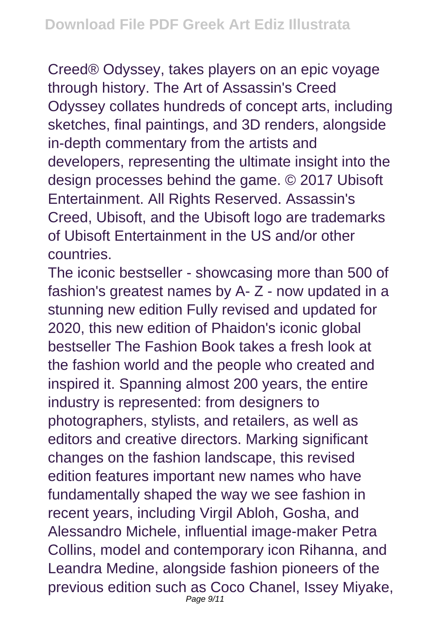Creed® Odyssey, takes players on an epic voyage through history. The Art of Assassin's Creed Odyssey collates hundreds of concept arts, including sketches, final paintings, and 3D renders, alongside in-depth commentary from the artists and developers, representing the ultimate insight into the design processes behind the game. © 2017 Ubisoft Entertainment. All Rights Reserved. Assassin's Creed, Ubisoft, and the Ubisoft logo are trademarks of Ubisoft Entertainment in the US and/or other countries.

The iconic bestseller - showcasing more than 500 of fashion's greatest names by A- Z - now updated in a stunning new edition Fully revised and updated for 2020, this new edition of Phaidon's iconic global bestseller The Fashion Book takes a fresh look at the fashion world and the people who created and inspired it. Spanning almost 200 years, the entire industry is represented: from designers to photographers, stylists, and retailers, as well as editors and creative directors. Marking significant changes on the fashion landscape, this revised edition features important new names who have fundamentally shaped the way we see fashion in recent years, including Virgil Abloh, Gosha, and Alessandro Michele, influential image-maker Petra Collins, model and contemporary icon Rihanna, and Leandra Medine, alongside fashion pioneers of the previous edition such as Coco Chanel, Issey Miyake, Page 9/11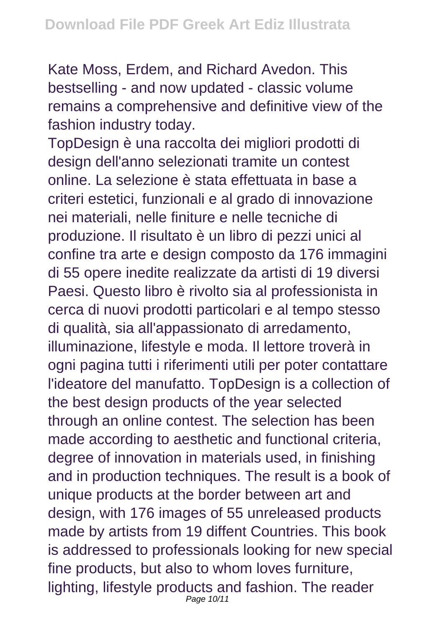Kate Moss, Erdem, and Richard Avedon. This bestselling - and now updated - classic volume remains a comprehensive and definitive view of the fashion industry today.

TopDesign è una raccolta dei migliori prodotti di design dell'anno selezionati tramite un contest online. La selezione è stata effettuata in base a criteri estetici, funzionali e al grado di innovazione nei materiali, nelle finiture e nelle tecniche di produzione. Il risultato è un libro di pezzi unici al confine tra arte e design composto da 176 immagini di 55 opere inedite realizzate da artisti di 19 diversi Paesi. Questo libro è rivolto sia al professionista in cerca di nuovi prodotti particolari e al tempo stesso di qualità, sia all'appassionato di arredamento, illuminazione, lifestyle e moda. Il lettore troverà in ogni pagina tutti i riferimenti utili per poter contattare l'ideatore del manufatto. TopDesign is a collection of the best design products of the year selected through an online contest. The selection has been made according to aesthetic and functional criteria, degree of innovation in materials used, in finishing and in production techniques. The result is a book of unique products at the border between art and design, with 176 images of 55 unreleased products made by artists from 19 diffent Countries. This book is addressed to professionals looking for new special fine products, but also to whom loves furniture, lighting, lifestyle products and fashion. The reader Page 10/11